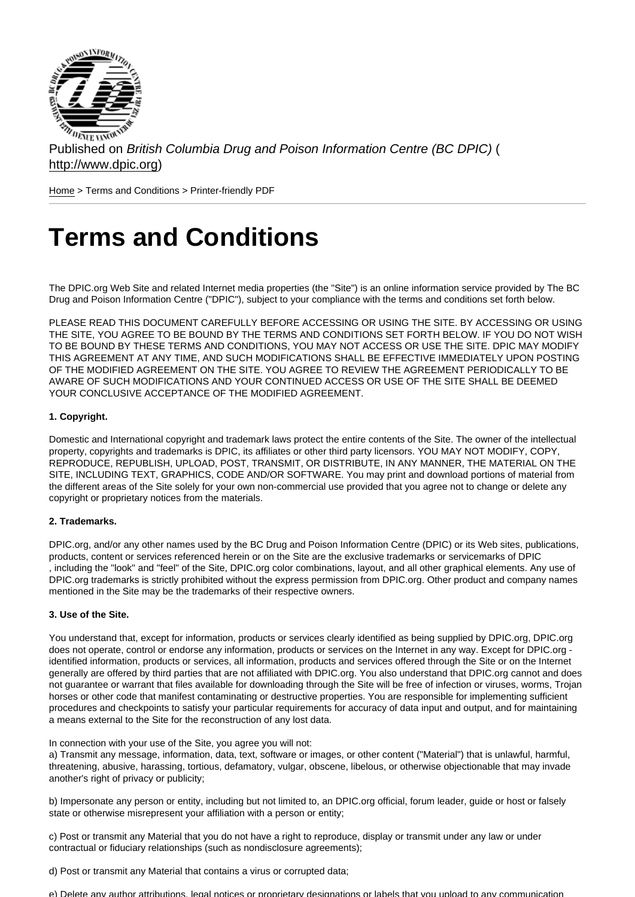Published on British Columbia Drug and Poison Information Centre (BC DPIC) ( http://www.dpic.org)

Home > Terms and Conditions > Printer-friendly PDF

# [Te](http://www.dpic.org/)rms and Conditions

The DPIC.org Web Site and related Internet media properties (the "Site") is an online information service provided by The BC Drug and Poison Information Centre ("DPIC"), subject to your compliance with the terms and conditions set forth below.

PLEASE READ THIS DOCUMENT CAREFULLY BEFORE ACCESSING OR USING THE SITE. BY ACCESSING OR USING THE SITE, YOU AGREE TO BE BOUND BY THE TERMS AND CONDITIONS SET FORTH BELOW. IF YOU DO NOT WISH TO BE BOUND BY THESE TERMS AND CONDITIONS, YOU MAY NOT ACCESS OR USE THE SITE. DPIC MAY MODIFY THIS AGREEMENT AT ANY TIME, AND SUCH MODIFICATIONS SHALL BE EFFECTIVE IMMEDIATELY UPON POSTING OF THE MODIFIED AGREEMENT ON THE SITE. YOU AGREE TO REVIEW THE AGREEMENT PERIODICALLY TO BE AWARE OF SUCH MODIFICATIONS AND YOUR CONTINUED ACCESS OR USE OF THE SITE SHALL BE DEEMED YOUR CONCLUSIVE ACCEPTANCE OF THE MODIFIED AGREEMENT.

#### 1. Copyright.

Domestic and International copyright and trademark laws protect the entire contents of the Site. The owner of the intellectual property, copyrights and trademarks is DPIC, its affiliates or other third party licensors. YOU MAY NOT MODIFY, COPY, REPRODUCE, REPUBLISH, UPLOAD, POST, TRANSMIT, OR DISTRIBUTE, IN ANY MANNER, THE MATERIAL ON THE SITE, INCLUDING TEXT, GRAPHICS, CODE AND/OR SOFTWARE. You may print and download portions of material from the different areas of the Site solely for your own non-commercial use provided that you agree not to change or delete any copyright or proprietary notices from the materials.

#### 2. Trademarks.

DPIC.org, and/or any other names used by the BC Drug and Poison Information Centre (DPIC) or its Web sites, publications, products, content or services referenced herein or on the Site are the exclusive trademarks or servicemarks of DPIC , including the "look" and "feel" of the Site, DPIC.org color combinations, layout, and all other graphical elements. Any use of DPIC.org trademarks is strictly prohibited without the express permission from DPIC.org. Other product and company names mentioned in the Site may be the trademarks of their respective owners.

#### 3. Use of the Site.

You understand that, except for information, products or services clearly identified as being supplied by DPIC.org, DPIC.org does not operate, control or endorse any information, products or services on the Internet in any way. Except for DPIC.org identified information, products or services, all information, products and services offered through the Site or on the Internet generally are offered by third parties that are not affiliated with DPIC.org. You also understand that DPIC.org cannot and does not guarantee or warrant that files available for downloading through the Site will be free of infection or viruses, worms, Trojan horses or other code that manifest contaminating or destructive properties. You are responsible for implementing sufficient procedures and checkpoints to satisfy your particular requirements for accuracy of data input and output, and for maintaining a means external to the Site for the reconstruction of any lost data.

In connection with your use of the Site, you agree you will not:

a) Transmit any message, information, data, text, software or images, or other content ("Material") that is unlawful, harmful, threatening, abusive, harassing, tortious, defamatory, vulgar, obscene, libelous, or otherwise objectionable that may invade another's right of privacy or publicity;

b) Impersonate any person or entity, including but not limited to, an DPIC.org official, forum leader, guide or host or falsely state or otherwise misrepresent your affiliation with a person or entity;

c) Post or transmit any Material that you do not have a right to reproduce, display or transmit under any law or under contractual or fiduciary relationships (such as nondisclosure agreements);

d) Post or transmit any Material that contains a virus or corrupted data;

e) Delete any author attributions, legal notices or proprietary designations or labels that you upload to any communication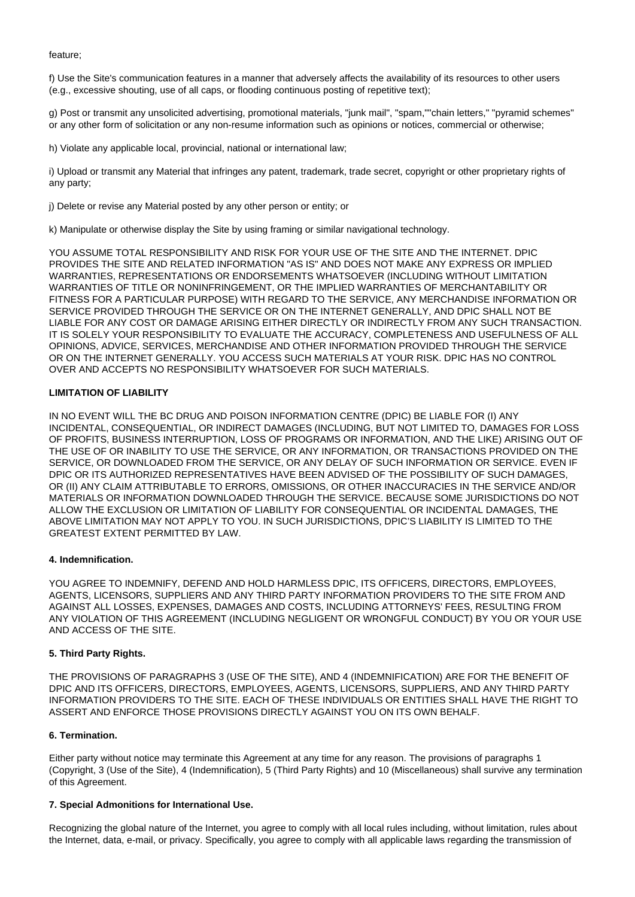feature;

f) Use the Site's communication features in a manner that adversely affects the availability of its resources to other users (e.g., excessive shouting, use of all caps, or flooding continuous posting of repetitive text);

g) Post or transmit any unsolicited advertising, promotional materials, "junk mail", "spam,""chain letters," "pyramid schemes" or any other form of solicitation or any non-resume information such as opinions or notices, commercial or otherwise;

h) Violate any applicable local, provincial, national or international law;

i) Upload or transmit any Material that infringes any patent, trademark, trade secret, copyright or other proprietary rights of any party;

j) Delete or revise any Material posted by any other person or entity; or

k) Manipulate or otherwise display the Site by using framing or similar navigational technology.

YOU ASSUME TOTAL RESPONSIBILITY AND RISK FOR YOUR USE OF THE SITE AND THE INTERNET. DPIC PROVIDES THE SITE AND RELATED INFORMATION "AS IS" AND DOES NOT MAKE ANY EXPRESS OR IMPLIED WARRANTIES, REPRESENTATIONS OR ENDORSEMENTS WHATSOEVER (INCLUDING WITHOUT LIMITATION WARRANTIES OF TITLE OR NONINFRINGEMENT, OR THE IMPLIED WARRANTIES OF MERCHANTABILITY OR FITNESS FOR A PARTICULAR PURPOSE) WITH REGARD TO THE SERVICE, ANY MERCHANDISE INFORMATION OR SERVICE PROVIDED THROUGH THE SERVICE OR ON THE INTERNET GENERALLY, AND DPIC SHALL NOT BE LIABLE FOR ANY COST OR DAMAGE ARISING EITHER DIRECTLY OR INDIRECTLY FROM ANY SUCH TRANSACTION. IT IS SOLELY YOUR RESPONSIBILITY TO EVALUATE THE ACCURACY, COMPLETENESS AND USEFULNESS OF ALL OPINIONS, ADVICE, SERVICES, MERCHANDISE AND OTHER INFORMATION PROVIDED THROUGH THE SERVICE OR ON THE INTERNET GENERALLY. YOU ACCESS SUCH MATERIALS AT YOUR RISK. DPIC HAS NO CONTROL OVER AND ACCEPTS NO RESPONSIBILITY WHATSOEVER FOR SUCH MATERIALS.

# **LIMITATION OF LIABILITY**

IN NO EVENT WILL THE BC DRUG AND POISON INFORMATION CENTRE (DPIC) BE LIABLE FOR (I) ANY INCIDENTAL, CONSEQUENTIAL, OR INDIRECT DAMAGES (INCLUDING, BUT NOT LIMITED TO, DAMAGES FOR LOSS OF PROFITS, BUSINESS INTERRUPTION, LOSS OF PROGRAMS OR INFORMATION, AND THE LIKE) ARISING OUT OF THE USE OF OR INABILITY TO USE THE SERVICE, OR ANY INFORMATION, OR TRANSACTIONS PROVIDED ON THE SERVICE, OR DOWNLOADED FROM THE SERVICE, OR ANY DELAY OF SUCH INFORMATION OR SERVICE. EVEN IF DPIC OR ITS AUTHORIZED REPRESENTATIVES HAVE BEEN ADVISED OF THE POSSIBILITY OF SUCH DAMAGES, OR (II) ANY CLAIM ATTRIBUTABLE TO ERRORS, OMISSIONS, OR OTHER INACCURACIES IN THE SERVICE AND/OR MATERIALS OR INFORMATION DOWNLOADED THROUGH THE SERVICE. BECAUSE SOME JURISDICTIONS DO NOT ALLOW THE EXCLUSION OR LIMITATION OF LIABILITY FOR CONSEQUENTIAL OR INCIDENTAL DAMAGES, THE ABOVE LIMITATION MAY NOT APPLY TO YOU. IN SUCH JURISDICTIONS, DPIC'S LIABILITY IS LIMITED TO THE GREATEST EXTENT PERMITTED BY LAW.

#### **4. Indemnification.**

YOU AGREE TO INDEMNIFY, DEFEND AND HOLD HARMLESS DPIC, ITS OFFICERS, DIRECTORS, EMPLOYEES, AGENTS, LICENSORS, SUPPLIERS AND ANY THIRD PARTY INFORMATION PROVIDERS TO THE SITE FROM AND AGAINST ALL LOSSES, EXPENSES, DAMAGES AND COSTS, INCLUDING ATTORNEYS' FEES, RESULTING FROM ANY VIOLATION OF THIS AGREEMENT (INCLUDING NEGLIGENT OR WRONGFUL CONDUCT) BY YOU OR YOUR USE AND ACCESS OF THE SITE.

#### **5. Third Party Rights.**

THE PROVISIONS OF PARAGRAPHS 3 (USE OF THE SITE), AND 4 (INDEMNIFICATION) ARE FOR THE BENEFIT OF DPIC AND ITS OFFICERS, DIRECTORS, EMPLOYEES, AGENTS, LICENSORS, SUPPLIERS, AND ANY THIRD PARTY INFORMATION PROVIDERS TO THE SITE. EACH OF THESE INDIVIDUALS OR ENTITIES SHALL HAVE THE RIGHT TO ASSERT AND ENFORCE THOSE PROVISIONS DIRECTLY AGAINST YOU ON ITS OWN BEHALF.

#### **6. Termination.**

Either party without notice may terminate this Agreement at any time for any reason. The provisions of paragraphs 1 (Copyright, 3 (Use of the Site), 4 (Indemnification), 5 (Third Party Rights) and 10 (Miscellaneous) shall survive any termination of this Agreement.

#### **7. Special Admonitions for International Use.**

Recognizing the global nature of the Internet, you agree to comply with all local rules including, without limitation, rules about the Internet, data, e-mail, or privacy. Specifically, you agree to comply with all applicable laws regarding the transmission of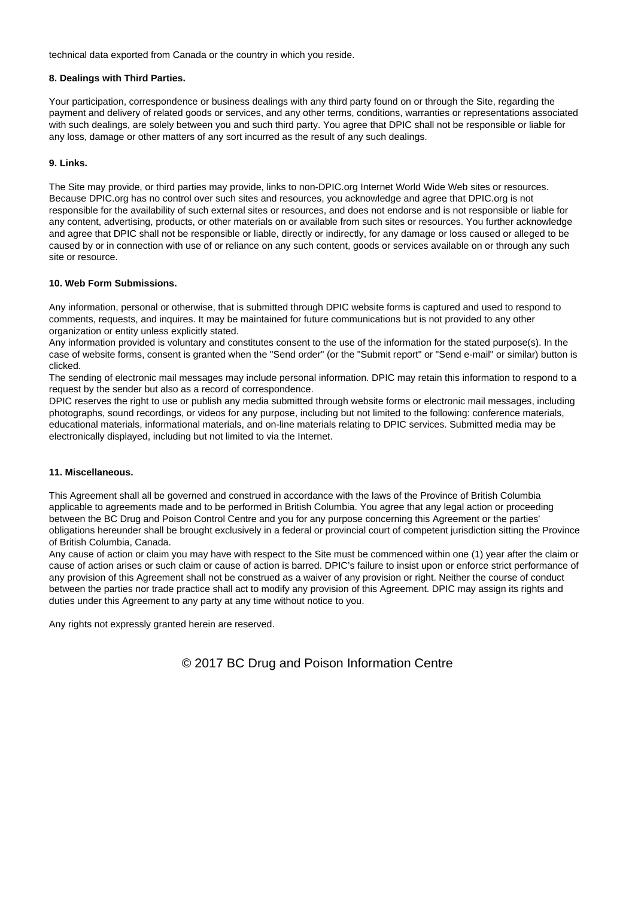technical data exported from Canada or the country in which you reside.

# **8. Dealings with Third Parties.**

Your participation, correspondence or business dealings with any third party found on or through the Site, regarding the payment and delivery of related goods or services, and any other terms, conditions, warranties or representations associated with such dealings, are solely between you and such third party. You agree that DPIC shall not be responsible or liable for any loss, damage or other matters of any sort incurred as the result of any such dealings.

#### **9. Links.**

The Site may provide, or third parties may provide, links to non-DPIC.org Internet World Wide Web sites or resources. Because DPIC.org has no control over such sites and resources, you acknowledge and agree that DPIC.org is not responsible for the availability of such external sites or resources, and does not endorse and is not responsible or liable for any content, advertising, products, or other materials on or available from such sites or resources. You further acknowledge and agree that DPIC shall not be responsible or liable, directly or indirectly, for any damage or loss caused or alleged to be caused by or in connection with use of or reliance on any such content, goods or services available on or through any such site or resource.

# **10. Web Form Submissions.**

Any information, personal or otherwise, that is submitted through DPIC website forms is captured and used to respond to comments, requests, and inquires. It may be maintained for future communications but is not provided to any other organization or entity unless explicitly stated.

Any information provided is voluntary and constitutes consent to the use of the information for the stated purpose(s). In the case of website forms, consent is granted when the "Send order" (or the "Submit report" or "Send e-mail" or similar) button is clicked.

The sending of electronic mail messages may include personal information. DPIC may retain this information to respond to a request by the sender but also as a record of correspondence.

DPIC reserves the right to use or publish any media submitted through website forms or electronic mail messages, including photographs, sound recordings, or videos for any purpose, including but not limited to the following: conference materials, educational materials, informational materials, and on-line materials relating to DPIC services. Submitted media may be electronically displayed, including but not limited to via the Internet.

# **11. Miscellaneous.**

This Agreement shall all be governed and construed in accordance with the laws of the Province of British Columbia applicable to agreements made and to be performed in British Columbia. You agree that any legal action or proceeding between the BC Drug and Poison Control Centre and you for any purpose concerning this Agreement or the parties' obligations hereunder shall be brought exclusively in a federal or provincial court of competent jurisdiction sitting the Province of British Columbia, Canada.

Any cause of action or claim you may have with respect to the Site must be commenced within one (1) year after the claim or cause of action arises or such claim or cause of action is barred. DPIC's failure to insist upon or enforce strict performance of any provision of this Agreement shall not be construed as a waiver of any provision or right. Neither the course of conduct between the parties nor trade practice shall act to modify any provision of this Agreement. DPIC may assign its rights and duties under this Agreement to any party at any time without notice to you.

Any rights not expressly granted herein are reserved.

© 2017 BC Drug and Poison Information Centre